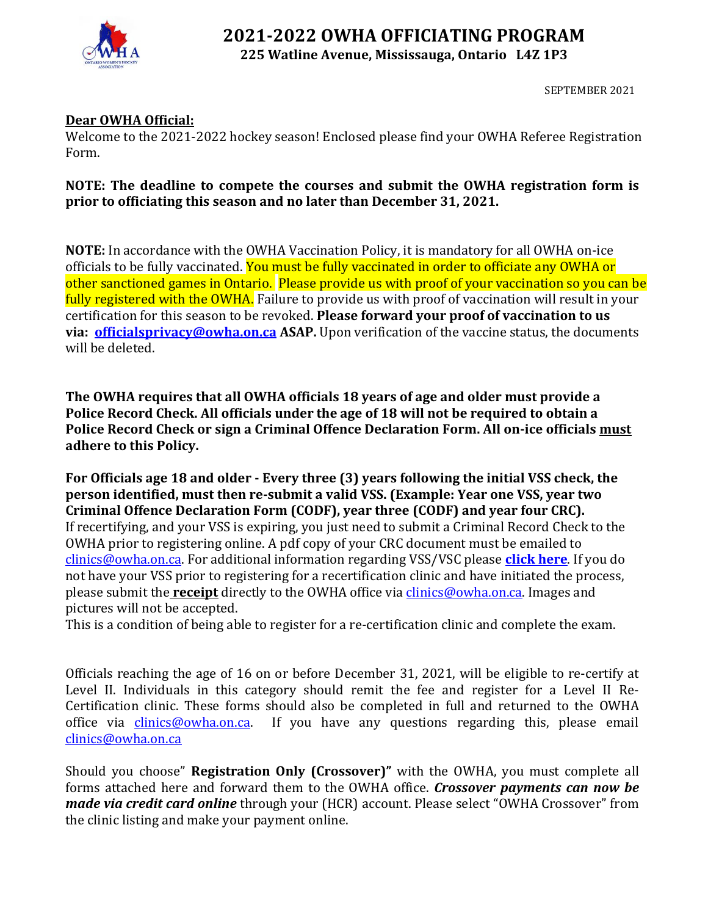

### **2021-2022 OWHA OFFICIATING PROGRAM 225 Watline Avenue, Mississauga, Ontario L4Z 1P3**

SEPTEMBER 2021

### **Dear OWHA Official:**

Welcome to the 2021-2022 hockey season! Enclosed please find your OWHA Referee Registration Form.

### **NOTE: The deadline to compete the courses and submit the OWHA registration form is prior to officiating this season and no later than December 31, 2021.**

**NOTE:** In accordance with the OWHA Vaccination Policy, it is mandatory for all OWHA on-ice officials to be fully vaccinated. You must be fully vaccinated in order to officiate any OWHA or other sanctioned games in Ontario. Please provide us with proof of your vaccination so you can be fully registered with the OWHA. Failure to provide us with proof of vaccination will result in your certification for this season to be revoked. **Please forward your proof of vaccination to us via: officialsprivacy@owha.on.ca ASAP.** Upon verification of the vaccine status, the documents will be deleted.

**The OWHA requires that all OWHA officials 18 years of age and older must provide a Police Record Check. All officials under the age of 18 will not be required to obtain a Police Record Check or sign a Criminal Offence Declaration Form. All on-ice officials must adhere to this Policy.** 

**For Officials age 18 and older - Every three (3) years following the initial VSS check, the person identified, must then re-submit a valid VSS. (Example: Year one VSS, year two Criminal Offence Declaration Form (CODF), year three (CODF) and year four CRC).**  If recertifying, and your VSS is expiring, you just need to submit a Criminal Record Check to the OWHA prior to registering online. A pdf copy of your CRC document must be emailed to clinics@owha.on.ca. For additional information regarding VSS/VSC please **click here**. If you do not have your VSS prior to registering for a recertification clinic and have initiated the process, please submit the **receipt** directly to the OWHA office via clinics@owha.on.ca. Images and pictures will not be accepted.

This is a condition of being able to register for a re-certification clinic and complete the exam.

Officials reaching the age of 16 on or before December 31, 2021, will be eligible to re-certify at Level II. Individuals in this category should remit the fee and register for a Level II Re-Certification clinic. These forms should also be completed in full and returned to the OWHA office via clinics@owha.on.ca. If you have any questions regarding this, please email clinics@owha.on.ca

Should you choose" **Registration Only (Crossover)"** with the OWHA, you must complete all forms attached here and forward them to the OWHA office. *Crossover payments can now be made via credit card online* through your (HCR) account. Please select "OWHA Crossover" from the clinic listing and make your payment online.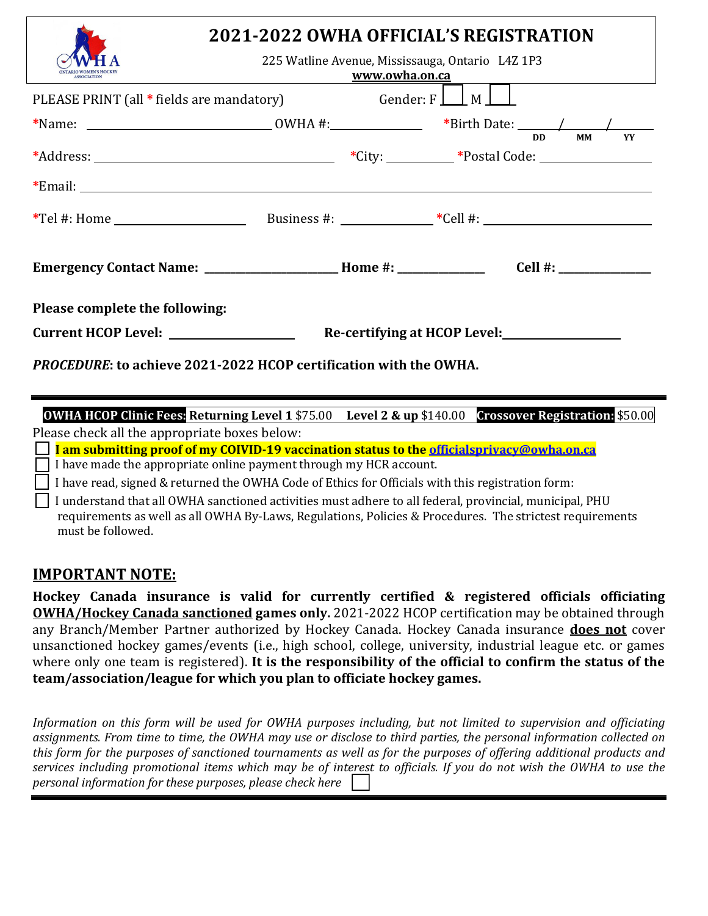|                                                                                                            | <b>2021-2022 OWHA OFFICIAL'S REGISTRATION</b><br>225 Watline Avenue, Mississauga, Ontario L4Z 1P3<br><u>www.owha.on.ca</u> |  |                         |                        |    |  |
|------------------------------------------------------------------------------------------------------------|----------------------------------------------------------------------------------------------------------------------------|--|-------------------------|------------------------|----|--|
| PLEASE PRINT (all * fields are mandatory)                                                                  |                                                                                                                            |  | Gender: $F \bigsqcup M$ |                        |    |  |
|                                                                                                            |                                                                                                                            |  |                         |                        |    |  |
|                                                                                                            |                                                                                                                            |  |                         | <b>MM</b><br><b>DD</b> | YY |  |
|                                                                                                            |                                                                                                                            |  |                         |                        |    |  |
|                                                                                                            |                                                                                                                            |  |                         |                        |    |  |
| Emergency Contact Name: __________________________Home #: _______________________ Cell #: ________________ |                                                                                                                            |  |                         |                        |    |  |
| Please complete the following:                                                                             |                                                                                                                            |  |                         |                        |    |  |
| Current HCOP Level: __________________<br>Re-certifying at HCOP Level:                                     |                                                                                                                            |  |                         |                        |    |  |
| <b>PROCEDURE: to achieve 2021-2022 HCOP certification with the OWHA.</b>                                   |                                                                                                                            |  |                         |                        |    |  |

**OWHA HCOP Clinic Fees: Returning Level 1** \$75.00 **Level 2 & up** \$140.00 **Crossover Registration:** \$50.00

Please check all the appropriate boxes below:

❑ **I am submitting proof of my COIVID-19 vaccination status to the officialsprivacy@owha.on.ca**

I have made the appropriate online payment through my HCR account.

I have read, signed & returned the OWHA Code of Ethics for Officials with this registration form:

❑I understand that all OWHA sanctioned activities must adhere to all federal, provincial, municipal, PHU requirements as well as all OWHA By-Laws, Regulations, Policies & Procedures. The strictest requirements must be followed.

## **IMPORTANT NOTE:**

**Hockey Canada insurance is valid for currently certified & registered officials officiating OWHA/Hockey Canada sanctioned games only.** 2021-2022 HCOP certification may be obtained through any Branch/Member Partner authorized by Hockey Canada. Hockey Canada insurance **does not** cover unsanctioned hockey games/events (i.e., high school, college, university, industrial league etc. or games where only one team is registered). **It is the responsibility of the official to confirm the status of the team/association/league for which you plan to officiate hockey games.**

*Information on this form will be used for OWHA purposes including, but not limited to supervision and officiating assignments. From time to time, the OWHA may use or disclose to third parties, the personal information collected on this form for the purposes of sanctioned tournaments as well as for the purposes of offering additional products and services including promotional items which may be of interest to officials. If you do not wish the OWHA to use the personal information for these purposes, please check here*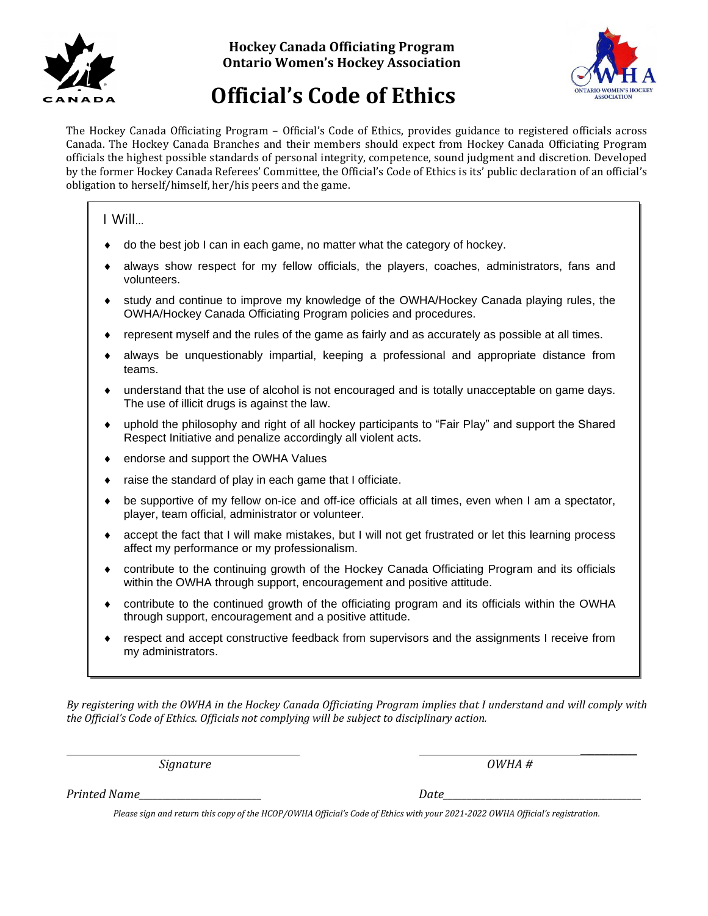



# **Official's Code of Ethics**

The Hockey Canada Officiating Program – Official's Code of Ethics, provides guidance to registered officials across Canada. The Hockey Canada Branches and their members should expect from Hockey Canada Officiating Program officials the highest possible standards of personal integrity, competence, sound judgment and discretion. Developed by the former Hockey Canada Referees' Committee, the Official's Code of Ethics is its' public declaration of an official's obligation to herself/himself, her/his peers and the game.

### I Will…

- do the best job I can in each game, no matter what the category of hockey.
- always show respect for my fellow officials, the players, coaches, administrators, fans and volunteers.
- study and continue to improve my knowledge of the OWHA/Hockey Canada playing rules, the OWHA/Hockey Canada Officiating Program policies and procedures.
- represent myself and the rules of the game as fairly and as accurately as possible at all times.
- always be unquestionably impartial, keeping a professional and appropriate distance from teams.
- understand that the use of alcohol is not encouraged and is totally unacceptable on game days. The use of illicit drugs is against the law.
- uphold the philosophy and right of all hockey participants to "Fair Play" and support the Shared Respect Initiative and penalize accordingly all violent acts.
- endorse and support the OWHA Values
- raise the standard of play in each game that I officiate.
- be supportive of my fellow on-ice and off-ice officials at all times, even when I am a spectator, player, team official, administrator or volunteer.
- accept the fact that I will make mistakes, but I will not get frustrated or let this learning process affect my performance or my professionalism.
- contribute to the continuing growth of the Hockey Canada Officiating Program and its officials within the OWHA through support, encouragement and positive attitude.
- contribute to the continued growth of the officiating program and its officials within the OWHA through support, encouragement and a positive attitude.
- respect and accept constructive feedback from supervisors and the assignments I receive from my administrators.

*By registering with the OWHA in the Hockey Canada Officiating Program implies that I understand and will comply with the Official's Code of Ethics. Officials not complying will be subject to disciplinary action.*

*Signature OWHA #*

 $\overline{\phantom{a}}$ 

*Printed Name\_\_\_\_\_\_\_\_\_\_\_\_\_\_\_\_\_\_\_\_\_\_\_\_\_\_ Date\_\_\_\_\_\_\_\_\_\_\_\_\_\_\_\_\_\_\_\_\_\_\_\_\_\_\_\_\_\_\_\_\_\_\_\_\_\_\_\_\_\_*

*Please sign and return this copy of the HCOP/OWHA Official's Code of Ethics with your 2021-2022 OWHA Official's registration.*